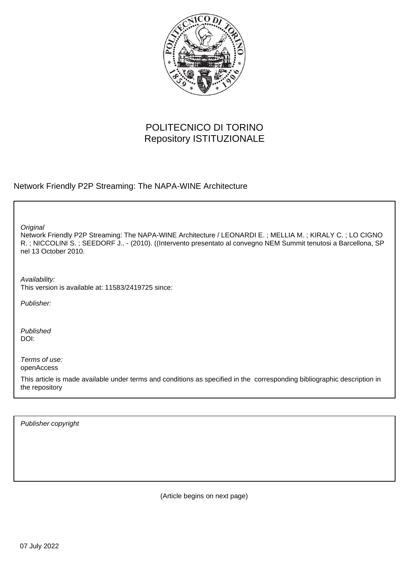

# POLITECNICO DI TORINO Repository ISTITUZIONALE

Network Friendly P2P Streaming: The NAPA-WINE Architecture

**Original** 

Network Friendly P2P Streaming: The NAPA-WINE Architecture / LEONARDI E. ; MELLIA M. ; KIRALY C. ; LO CIGNO R. ; NICCOLINI S. ; SEEDORF J.. - (2010). ((Intervento presentato al convegno NEM Summit tenutosi a Barcellona, SP nel 13 October 2010.

Availability: This version is available at: 11583/2419725 since:

Publisher:

Published DOI:

Terms of use: openAccess

This article is made available under terms and conditions as specified in the corresponding bibliographic description in the repository

Publisher copyright

(Article begins on next page)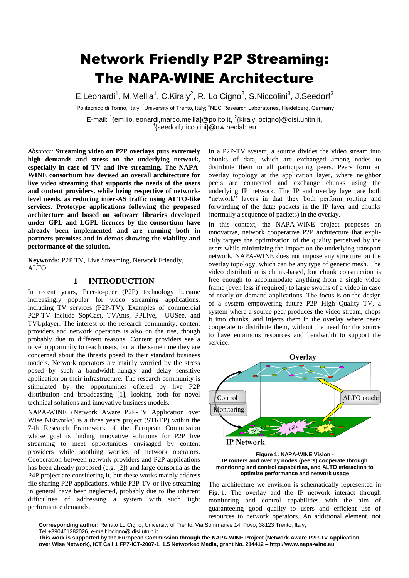# Network Friendly P2P Streaming: The NAPA-WINE Architecture

E.Leonardi<sup>1</sup>, M.Mellia<sup>1</sup>, C.Kiraly<sup>2</sup>, R. Lo Cigno<sup>2</sup>, S.Niccolini<sup>3</sup>, J.Seedorf<sup>3</sup> <sup>1</sup>Politecnico di Torino, Italy; <sup>2</sup>University of Trento, Italy; <sup>3</sup>NEC Research Laboratories, Heidelberg, Germany

E-mail: <sup>1</sup>{emilio.leonardi,marco.mellia}@polito.it, <sup>2</sup>{kiraly,locigno}@disi.unitn.it, 3 {seedorf,niccolini}@nw.neclab.eu

*Abstract:* **Streaming video on P2P overlays puts extremely high demands and stress on the underlying network, especially in case of TV and live streaming. The NAPA-WINE consortium has devised an overall architecture for live video streaming that supports the needs of the users and content providers, while being respective of networklevel needs, as reducing inter-AS traffic using ALTO-like services. Prototype applications following the proposed architecture and based on software libraries developed under GPL and LGPL licences by the consortium have already been implemented and are running both in partners premises and in demos showing the viability and performance of the solution.** 

**Keywords:** P2P TV, Live Streaming, Network Friendly, ALTO

# **1 INTRODUCTION**

In recent years, Peer-to-peer (P2P) technology became increasingly popular for video streaming applications, including TV services (P2P-TV). Examples of commercial P2P-TV include SopCast, TVAnts, PPLive, UUSee, and TVUplayer. The interest of the research community, content providers and network operators is also on the rise, though probably due to different reasons. Content providers see a novel opportunity to reach users, but at the same time they are concerned about the threats posed to their standard business models. Network operators are mainly worried by the stress posed by such a bandwidth-hungry and delay sensitive application on their infrastructure. The research community is stimulated by the opportunities offered by live P2P distribution and broadcasting [1], looking both for novel technical solutions and innovative business models.

NAPA-WINE (Network Aware P2P-TV Application over WIse NEtworks) is a three years project (STREP) within the 7-th Research Framework of the European Commission whose goal is finding innovative solutions for P2P live streaming to meet opportunities envisaged by content providers while soothing worries of network operators. Cooperation between network providers and P2P applications has been already proposed (e.g. [2]) and large consortia as the P4P project are considering it, but these works mainly address file sharing P2P applications, while P2P-TV or live-streaming in general have been neglected, probably due to the inherent difficulties of addressing a system with such tight performance demands.

In a P2P-TV system, a source divides the video stream into chunks of data, which are exchanged among nodes to distribute them to all participating peers. Peers form an overlay topology at the application layer, where neighbor peers are connected and exchange chunks using the underlying IP network. The IP and overlay layer are both "network" layers in that they both perform routing and forwarding of the data: packets in the IP layer and chunks (normally a sequence of packets) in the overlay.

In this context, the NAPA-WINE project proposes an innovative, network cooperative P2P architecture that explicitly targets the optimization of the quality perceived by the users while minimizing the impact on the underlying transport network. NAPA-WINE does not impose any structure on the overlay topology, which can be any type of generic mesh. The video distribution is chunk-based, but chunk construction is free enough to accommodate anything from a single video frame (even less if required) to large swaths of a video in case of nearly on-demand applications. The focus is on the design of a system empowering future P2P High Quality TV, a system where a source peer produces the video stream, chops it into chunks, and injects them in the overlay where peers cooperate to distribute them, without the need for the source to have enormous resources and bandwidth to support the service.



**Figure 1: NAPA-WINE Vision - IP routers and overlay nodes (peers) cooperate through monitoring and control capabilities, and ALTO interaction to optimize performance and network usage**

The architecture we envision is schematically represented in Fig. 1. The overlay and the IP network interact through monitoring and control capabilities with the aim of guaranteeing good quality to users and efficient use of resources to network operators. An additional element, not

**Corresponding author:** Renato Lo Cigno, University of Trento, Via Sommarive 14, Povo, 38123 Trento, Italy; Tel.+390461282026, e-mail:locigno@ disi.utnin.it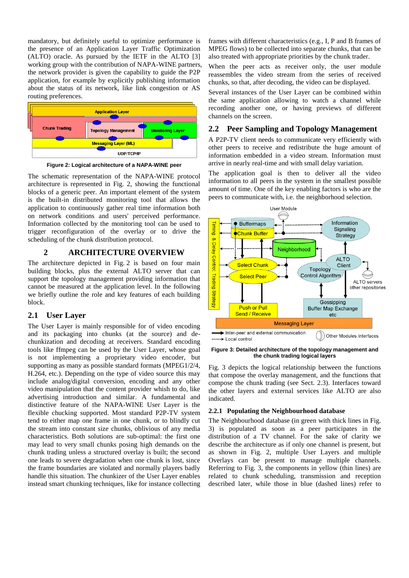mandatory, but definitely useful to optimize performance is the presence of an Application Layer Traffic Optimization (ALTO) oracle. As pursued by the IETF in the ALTO [3] working group with the contribution of NAPA-WINE partners, the network provider is given the capability to guide the P2P application, for example by explicitly publishing information about the status of its network, like link congestion or AS routing preferences.



**Figure 2: Logical architecture of a NAPA-WINE peer** 

The schematic representation of the NAPA-WINE protocol architecture is represented in Fig. 2, showing the functional blocks of a generic peer. An important element of the system is the built-in distributed monitoring tool that allows the application to continuously gather real time information both on network conditions and users' perceived performance. Information collected by the monitoring tool can be used to trigger reconfiguration of the overlay or to drive the scheduling of the chunk distribution protocol.

# **2 ARCHITECTURE OVERVIEW**

The architecture depicted in Fig. 2 is based on four main building blocks, plus the external ALTO server that can support the topology management providing information that cannot be measured at the application level. In the following we briefly outline the role and key features of each building block.

## **2.1 User Layer**

The User Layer is mainly responsible for of video encoding and its packaging into chunks (at the source) and dechunkization and decoding at receivers. Standard encoding tools like ffmpeg can be used by the User Layer, whose goal is not implementing a proprietary video encoder, but supporting as many as possible standard formats (MPEG1/2/4, H.264, etc.). Depending on the type of video source this may include analog/digital conversion, encoding and any other video manipulation that the content provider whish to do, like advertising introduction and similar. A fundamental and distinctive feature of the NAPA-WINE User Layer is the flexible chucking supported. Most standard P2P-TV system tend to either map one frame in one chunk, or to blindly cut the stream into constant size chunks, oblivious of any media characteristics. Both solutions are sub-optimal: the first one may lead to very small chunks posing high demands on the chunk trading unless a structured overlay is built; the second one leads to severe degradation when one chunk is lost, since the frame boundaries are violated and normally players badly handle this situation. The chunkizer of the User Layer enables instead smart chunking techniques, like for instance collecting

frames with different characteristics (e.g., I, P and B frames of MPEG flows) to be collected into separate chunks, that can be also treated with appropriate priorities by the chunk trader.

When the peer acts as receiver only, the user module reassembles the video stream from the series of received chunks, so that, after decoding, the video can be displayed.

Several instances of the User Layer can be combined within the same application allowing to watch a channel while recording another one, or having previews of different channels on the screen.

## **2.2 Peer Sampling and Topology Management**

A P2P-TV client needs to communicate very efficiently with other peers to receive and redistribute the huge amount of information embedded in a video stream. Information must arrive in nearly real-time and with small delay variation.

The application goal is then to deliver all the video information to all peers in the system in the smallest possible amount of time. One of the key enabling factors is who are the peers to communicate with, i.e. the neighborhood selection.



**Figure 3: Detailed architecture of the topology management and the chunk trading logical layers** 

Fig. 3 depicts the logical relationship between the functions that compose the overlay management, and the functions that compose the chunk trading (see Sect. 2.3). Interfaces toward the other layers and external services like ALTO are also indicated.

#### **2.2.1 Populating the Neighbourhood database**

The Neighbourhood database (in green with thick lines in Fig. 3) is populated as soon as a peer participates in the distribution of a TV channel. For the sake of clarity we describe the architecture as if only one channel is present, but as shown in Fig. 2, multiple User Layers and multiple Overlays can be present to manage multiple channels. Referring to Fig. 3, the components in yellow (thin lines) are related to chunk scheduling, transmission and reception described later, while those in blue (dashed lines) refer to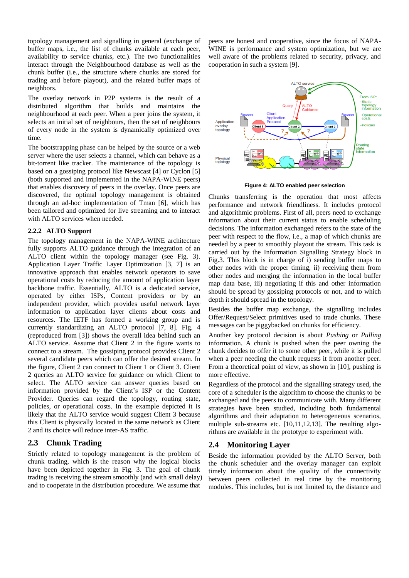topology management and signalling in general (exchange of buffer maps, i.e., the list of chunks available at each peer, availability to service chunks, etc.). The two functionalities interact through the Neighbourhood database as well as the chunk buffer (i.e., the structure where chunks are stored for trading and before playout), and the related buffer maps of neighbors.

The overlay network in P2P systems is the result of a distributed algorithm that builds and maintains the neighbourhood at each peer. When a peer joins the system, it selects an initial set of neighbours, then the set of neighbours of every node in the system is dynamically optimized over time.

The bootstrapping phase can be helped by the source or a web server where the user selects a channel, which can behave as a bit-torrent like tracker. The maintenance of the topology is based on a gossiping protocol like Newscast [4] or Cyclon [5] (both supported and implemented in the NAPA-WINE peers) that enables discovery of peers in the overlay. Once peers are discovered, the optimal topology management is obtained through an ad-hoc implementation of Tman [6], which has been tailored and optimized for live streaming and to interact with ALTO services when needed.

#### **2.2.2 ALTO Support**

The topology management in the NAPA-WINE architecture fully supports ALTO guidance through the integration of an ALTO client within the topology manager (see Fig. 3). Application Layer Traffic Layer Optimization [3, 7] is an innovative approach that enables network operators to save operational costs by reducing the amount of application layer backbone traffic. Essentially, ALTO is a dedicated service, operated by either ISPs, Content providers or by an independent provider, which provides useful network layer information to application layer clients about costs and resources. The IETF has formed a working group and is currently standardizing an ALTO protocol [7, 8]. Fig. 4 (reproduced from [3]) shows the overall idea behind such an ALTO service. Assume that Client 2 in the figure wants to connect to a stream. The gossiping protocol provides Client 2 several candidate peers which can offer the desired stream. In the figure, Client 2 can connect to Client 1 or Client 3. Client 2 queries an ALTO service for guidance on which Client to select. The ALTO service can answer queries based on information provided by the Client's ISP or the Content Provider. Queries can regard the topology, routing state, policies, or operational costs. In the example depicted it is likely that the ALTO service would suggest Client 3 because this Client is physically located in the same network as Client 2 and its choice will reduce inter-AS traffic.

# **2.3 Chunk Trading**

Strictly related to topology management is the problem of chunk trading, which is the reason why the logical blocks have been depicted together in Fig. 3. The goal of chunk trading is receiving the stream smoothly (and with small delay) and to cooperate in the distribution procedure. We assume that

peers are honest and cooperative, since the focus of NAPA-WINE is performance and system optimization, but we are well aware of the problems related to security, privacy, and cooperation in such a system [9].



**Figure 4: ALTO enabled peer selection**

Chunks transferring is the operation that most affects performance and network friendliness. It includes protocol and algorithmic problems. First of all, peers need to exchange information about their current status to enable scheduling decisions. The information exchanged refers to the state of the peer with respect to the flow, i.e., a map of which chunks are needed by a peer to smoothly playout the stream. This task is carried out by the Information Signalling Strategy block in Fig.3. This block is in charge of i) sending buffer maps to other nodes with the proper timing, ii) receiving them from other nodes and merging the information in the local buffer map data base, iii) negotiating if this and other information should be spread by gossiping protocols or not, and to which depth it should spread in the topology.

Besides the buffer map exchange, the signalling includes Offer/Request/Select primitives used to trade chunks. These messages can be piggybacked on chunks for efficiency.

Another key protocol decision is about *Pushing* or *Pulling* information. A chunk is pushed when the peer owning the chunk decides to offer it to some other peer, while it is pulled when a peer needing the chunk requests it from another peer. From a theoretical point of view, as shown in [10], pushing is more effective.

Regardless of the protocol and the signalling strategy used, the core of a scheduler is the algorithm to choose the chunks to be exchanged and the peers to communicate with. Many different strategies have been studied, including both fundamental algorithms and their adaptation to heterogeneous scenarios, multiple sub-streams etc. [10,11,12,13]. The resulting algorithms are available in the prototype to experiment with.

# **2.4 Monitoring Layer**

Beside the information provided by the ALTO Server, both the chunk scheduler and the overlay manager can exploit timely information about the quality of the connectivity between peers collected in real time by the monitoring modules. This includes, but is not limited to, the distance and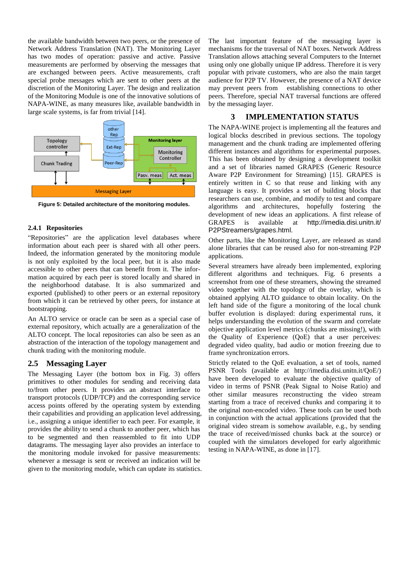the available bandwidth between two peers, or the presence of Network Address Translation (NAT). The Monitoring Layer has two modes of operation: passive and active. Passive measurements are performed by observing the messages that are exchanged between peers. Active measurements, craft special probe messages which are sent to other peers at the discretion of the Monitoring Layer. The design and realization of the Monitoring Module is one of the innovative solutions of NAPA-WINE, as many measures like, available bandwidth in large scale systems, is far from trivial [14].



**Figure 5: Detailed architecture of the monitoring modules.**

#### **2.4.1 Repositories**

"Repositories" are the application level databases where information about each peer is shared with all other peers. Indeed, the information generated by the monitoring module is not only exploited by the local peer, but it is also made accessible to other peers that can benefit from it. The information acquired by each peer is stored locally and shared in the neighborhood database. It is also summarized and exported (published) to other peers or an external repository from which it can be retrieved by other peers, for instance at bootstrapping.

An ALTO service or oracle can be seen as a special case of external repository, which actually are a generalization of the ALTO concept. The local repositories can also be seen as an abstraction of the interaction of the topology management and chunk trading with the monitoring module.

## **2.5 Messaging Layer**

The Messaging Layer (the bottom box in Fig. 3) offers primitives to other modules for sending and receiving data to/from other peers. It provides an abstract interface to transport protocols (UDP/TCP) and the corresponding service access points offered by the operating system by extending their capabilities and providing an application level addressing, i.e., assigning a unique identifier to each peer. For example, it provides the ability to send a chunk to another peer, which has to be segmented and then reassembled to fit into UDP datagrams. The messaging layer also provides an interface to the monitoring module invoked for passive measurements: whenever a message is sent or received an indication will be given to the monitoring module, which can update its statistics. The last important feature of the messaging layer is mechanisms for the traversal of NAT boxes. Network Address Translation allows attaching several Computers to the Internet using only one globally unique IP address. Therefore it is very popular with private customers, who are also the main target audience for P2P TV. However, the presence of a NAT device may prevent peers from establishing connections to other peers. Therefore, special NAT traversal functions are offered by the messaging layer.

#### **3 IMPLEMENTATION STATUS**

The NAPA-WINE project is implementing all the features and logical blocks described in previous sections. The topology management and the chunk trading are implemented offering different instances and algorithms for experimental purposes. This has been obtained by designing a development toolkit and a set of libraries named GRAPES (Generic Resource Aware P2P Environment for Streaming) [15]. GRAPES is entirely written in C so that reuse and linking with any language is easy. It provides a set of building blocks that researchers can use, combine, and modify to test and compare algorithms and architectures, hopefully fostering the development of new ideas an applications. A first release of GRAPES is available at http://imedia.disi.unitn.it/ P2PStreamers/grapes.html.

Other parts, like the Monitoring Layer, are released as stand alone libraries that can be reused also for non-streaming P2P applications.

Several streamers have already been implemented, exploring different algorithms and techniques. Fig. 6 presents a screenshot from one of these streamers, showing the streamed video together with the topology of the overlay, which is obtained applying ALTO guidance to obtain locality. On the left hand side of the figure a monitoring of the local chunk buffer evolution is displayed: during experimental runs, it helps understanding the evolution of the swarm and correlate objective application level metrics (chunks are missing!), with the Quality of Experience (QoE) that a user perceives: degraded video quality, bad audio or motion freezing due to frame synchronization errors.

Strictly related to the QoE evaluation, a set of tools, named PSNR Tools (available at http://imedia.disi.unitn.it/QoE/) have been developed to evaluate the objective quality of video in terms of PSNR (Peak Signal to Noise Ratio) and other similar measures reconstructing the video stream starting from a trace of received chunks and comparing it to the original non-encoded video. These tools can be used both in conjunction with the actual applications (provided that the original video stream is somehow available, e.g., by sending the trace of received/missed chunks back at the source) or coupled with the simulators developed for early algorithmic testing in NAPA-WINE, as done in [17].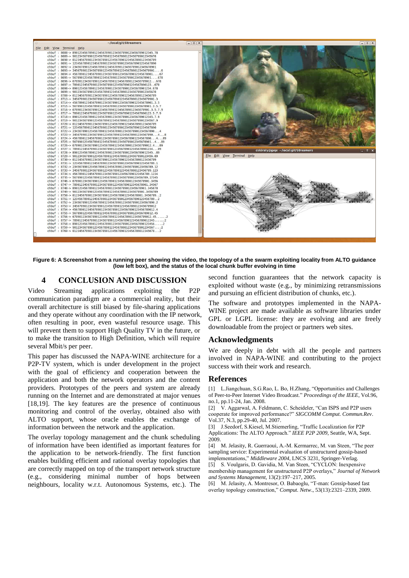

**Figure 6: A Screenshot from a running peer showing the video, the topology of a the swarm exploiting locality from ALTO guidance (low left box), and the status of the local chunk buffer evolving in time**

#### **4 CONCLUSION AND DISCUSSION**

Video Streaming applications exploiting the P2P communication paradigm are a commercial reality, but their overall architecture is still biased by file-sharing applications and they operate without any coordination with the IP network, often resulting in poor, even wasteful resource usage. This will prevent them to support High Quality TV in the future, or to make the transition to High Definition, which will require several Mbit/s per peer.

This paper has discussed the NAPA-WINE architecture for a P2P-TV system, which is under development in the project with the goal of efficiency and cooperation between the application and both the network operators and the content providers. Prototypes of the peers and system are already running on the Internet and are demonstrated at major venues [18,19]. The key features are the presence of continuous monitoring and control of the overlay, obtained also with ALTO support, whose oracle enables the exchange of information between the network and the application.

The overlay topology management and the chunk scheduling of information have been identified as important features for the application to be network-friendly. The first function enables building efficient and rational overlay topologies that are correctly mapped on top of the transport network structure (e.g., considering minimal number of hops between neighbours, locality w.r.t. Autonomous Systems, etc.). The

second function guarantees that the network capacity is exploited without waste (e.g., by minimizing retransmissions and pursuing an efficient distribution of chunks, etc.).

The software and prototypes implemented in the NAPA-WINE project are made available as software libraries under GPL or LGPL license: they are evolving and are freely downloadable from the project or partners web sites.

#### **Acknowledgments**

We are deeply in debt with all the people and partners involved in NAPA-WINE and contributing to the project success with their work and research.

#### **References**

[1] L.Jiangchuan, S.G.Rao, L. Bo, H.Zhang, "Opportunities and Challenges of Peer-to-Peer Internet Video Broadcast." *Proceedings of the IEEE*, Vol.96, no.1, pp.11-24, Jan. 2008.

[2] V. Aggarwal, A. Feldmann, C. Scheideler, "Can ISPS and P2P users cooperate for improved performance?" *SIGCOMM Comput. Commun.Rev*. Vol.37, N.3, pp.29-40, Jul. 2007.

[3] J.Seedorf, S.Kiesel, M.Stiemerling, "Traffic Localization for P2P Applications: The ALTO Approach." *IEEE P2P 2009*, Seattle, WA, Sept. 2009.

[4] M. Jelasity, R. Guerraoui, A.-M. Kermarrec, M. van Steen, "The peer sampling service: Experimental evaluation of unstructured gossip-based implementations," *Middleware 2004*, LNCS 3231, Springer-Verlag.

[5] S. Voulgaris, D. Gavidia, M. Van Steen, "CYCLON: Inexpensive membership management for unstructured P2P overlays," *Journal of Network and Systems Management*, 13(2):197–217, 2005.

[6] M. Jelasity, A. Montresor, O. Babaoglu, "T-man: Gossip-based fast overlay topology construction," *Comput. Netw*., 53(13):2321–2339, 2009.